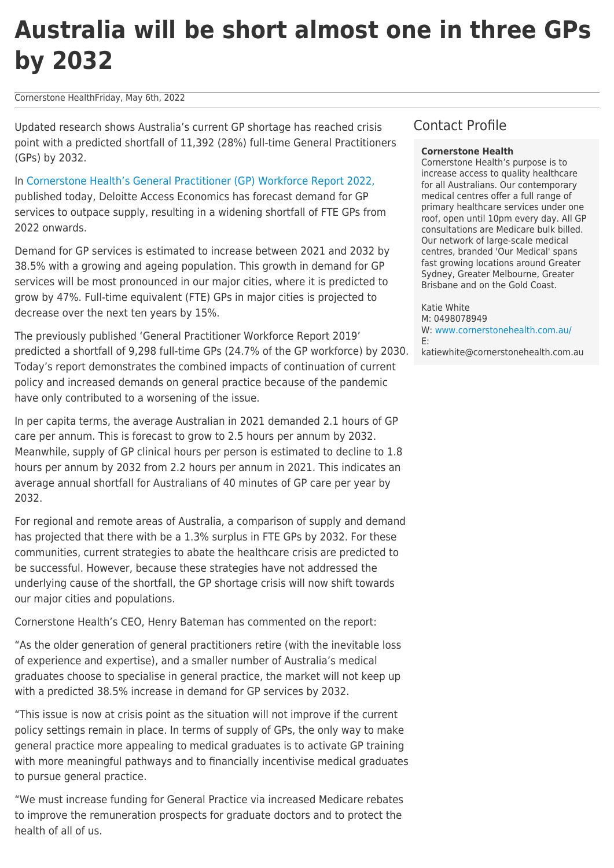# **Australia will be short almost one in three GPs by 2032**

Cornerstone HealthFriday, May 6th, 2022

Updated research shows Australia's current GP shortage has reached crisis point with a predicted shortfall of 11,392 (28%) full-time General Practitioners (GPs) by 2032.

In [Cornerstone Health's General Practitioner \(GP\) Workforce Report 2022,](https://www.ourmedicalhome.com.au/sites/default/files/inline-files/DAE_Cornerstone_Health_GP_Workforce_2022_FINAL_05May22.pdf) published today, Deloitte Access Economics has forecast demand for GP services to outpace supply, resulting in a widening shortfall of FTE GPs from 2022 onwards.

Demand for GP services is estimated to increase between 2021 and 2032 by 38.5% with a growing and ageing population. This growth in demand for GP services will be most pronounced in our major cities, where it is predicted to grow by 47%. Full-time equivalent (FTE) GPs in major cities is projected to decrease over the next ten years by 15%.

The previously published 'General Practitioner Workforce Report 2019' predicted a shortfall of 9,298 full-time GPs (24.7% of the GP workforce) by 2030. Today's report demonstrates the combined impacts of continuation of current policy and increased demands on general practice because of the pandemic have only contributed to a worsening of the issue.

In per capita terms, the average Australian in 2021 demanded 2.1 hours of GP care per annum. This is forecast to grow to 2.5 hours per annum by 2032. Meanwhile, supply of GP clinical hours per person is estimated to decline to 1.8 hours per annum by 2032 from 2.2 hours per annum in 2021. This indicates an average annual shortfall for Australians of 40 minutes of GP care per year by 2032.

For regional and remote areas of Australia, a comparison of supply and demand has projected that there with be a 1.3% surplus in FTE GPs by 2032. For these communities, current strategies to abate the healthcare crisis are predicted to be successful. However, because these strategies have not addressed the underlying cause of the shortfall, the GP shortage crisis will now shift towards our major cities and populations.

Cornerstone Health's CEO, Henry Bateman has commented on the report:

"As the older generation of general practitioners retire (with the inevitable loss of experience and expertise), and a smaller number of Australia's medical graduates choose to specialise in general practice, the market will not keep up with a predicted 38.5% increase in demand for GP services by 2032.

"This issue is now at crisis point as the situation will not improve if the current policy settings remain in place. In terms of supply of GPs, the only way to make general practice more appealing to medical graduates is to activate GP training with more meaningful pathways and to financially incentivise medical graduates to pursue general practice.

"We must increase funding for General Practice via increased Medicare rebates to improve the remuneration prospects for graduate doctors and to protect the health of all of us.

# Contact Profile

## **Cornerstone Health**

Cornerstone Health's purpose is to increase access to quality healthcare for all Australians. Our contemporary medical centres offer a full range of primary healthcare services under one roof, open until 10pm every day. All GP consultations are Medicare bulk billed. Our network of large-scale medical centres, branded 'Our Medical' spans fast growing locations around Greater Sydney, Greater Melbourne, Greater Brisbane and on the Gold Coast.

Katie White M: 0498078949 W: [www.cornerstonehealth.com.au/](https://www.cornerstonehealth.com.au/) E: katiewhite@cornerstonehealth.com.au